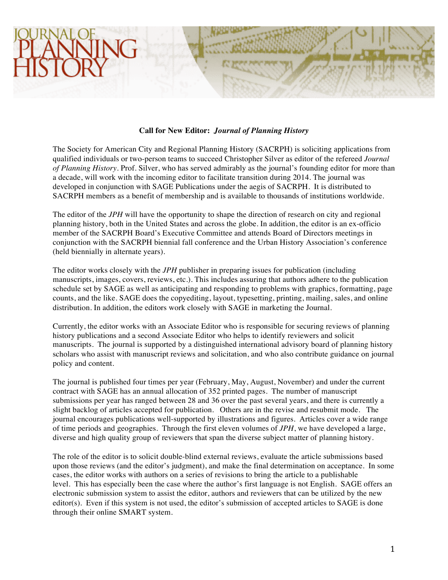## **Call for New Editor:** *Journal of Planning History*

The Society for American City and Regional Planning History (SACRPH) is soliciting applications from qualified individuals or two-person teams to succeed Christopher Silver as editor of the refereed *Journal of Planning History*. Prof. Silver, who has served admirably as the journal's founding editor for more than a decade, will work with the incoming editor to facilitate transition during 2014. The journal was developed in conjunction with SAGE Publications under the aegis of SACRPH. It is distributed to SACRPH members as a benefit of membership and is available to thousands of institutions worldwide.

The editor of the *JPH* will have the opportunity to shape the direction of research on city and regional planning history, both in the United States and across the globe. In addition, the editor is an ex-officio member of the SACRPH Board's Executive Committee and attends Board of Directors meetings in conjunction with the SACRPH biennial fall conference and the Urban History Association's conference (held biennially in alternate years).

The editor works closely with the *JPH* publisher in preparing issues for publication (including manuscripts, images, covers, reviews, etc.). This includes assuring that authors adhere to the publication schedule set by SAGE as well as anticipating and responding to problems with graphics, formatting, page counts, and the like. SAGE does the copyediting, layout, typesetting, printing, mailing, sales, and online distribution. In addition, the editors work closely with SAGE in marketing the Journal.

Currently, the editor works with an Associate Editor who is responsible for securing reviews of planning history publications and a second Associate Editor who helps to identify reviewers and solicit manuscripts. The journal is supported by a distinguished international advisory board of planning history scholars who assist with manuscript reviews and solicitation, and who also contribute guidance on journal policy and content.

The journal is published four times per year (February, May, August, November) and under the current contract with SAGE has an annual allocation of 352 printed pages. The number of manuscript submissions per year has ranged between 28 and 36 over the past several years, and there is currently a slight backlog of articles accepted for publication. Others are in the revise and resubmit mode. The journal encourages publications well-supported by illustrations and figures. Articles cover a wide range of time periods and geographies. Through the first eleven volumes of *JPH*, we have developed a large, diverse and high quality group of reviewers that span the diverse subject matter of planning history.

The role of the editor is to solicit double-blind external reviews, evaluate the article submissions based upon those reviews (and the editor's judgment), and make the final determination on acceptance. In some cases, the editor works with authors on a series of revisions to bring the article to a publishable level. This has especially been the case where the author's first language is not English. SAGE offers an electronic submission system to assist the editor, authors and reviewers that can be utilized by the new editor(s). Even if this system is not used, the editor's submission of accepted articles to SAGE is done through their online SMART system.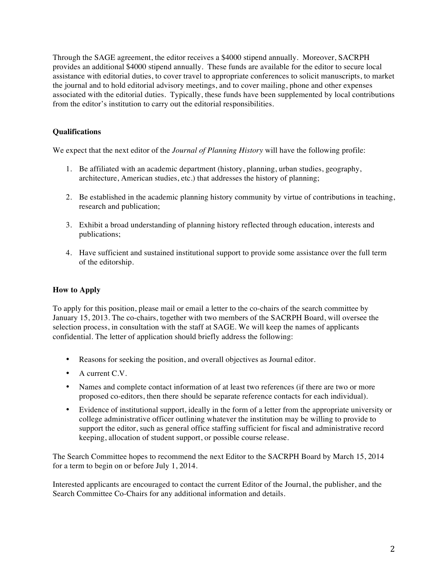Through the SAGE agreement, the editor receives a \$4000 stipend annually. Moreover, SACRPH provides an additional \$4000 stipend annually. These funds are available for the editor to secure local assistance with editorial duties, to cover travel to appropriate conferences to solicit manuscripts, to market the journal and to hold editorial advisory meetings, and to cover mailing, phone and other expenses associated with the editorial duties. Typically, these funds have been supplemented by local contributions from the editor's institution to carry out the editorial responsibilities.

# **Qualifications**

We expect that the next editor of the *Journal of Planning History* will have the following profile:

- 1. Be affiliated with an academic department (history, planning, urban studies, geography, architecture, American studies, etc.) that addresses the history of planning;
- 2. Be established in the academic planning history community by virtue of contributions in teaching, research and publication;
- 3. Exhibit a broad understanding of planning history reflected through education, interests and publications;
- 4. Have sufficient and sustained institutional support to provide some assistance over the full term of the editorship.

# **How to Apply**

To apply for this position, please mail or email a letter to the co-chairs of the search committee by January 15, 2013. The co-chairs, together with two members of the SACRPH Board, will oversee the selection process, in consultation with the staff at SAGE. We will keep the names of applicants confidential. The letter of application should briefly address the following:

- Reasons for seeking the position, and overall objectives as Journal editor.
- A current C.V.
- Names and complete contact information of at least two references (if there are two or more proposed co-editors, then there should be separate reference contacts for each individual).
- Evidence of institutional support, ideally in the form of a letter from the appropriate university or college administrative officer outlining whatever the institution may be willing to provide to support the editor, such as general office staffing sufficient for fiscal and administrative record keeping, allocation of student support, or possible course release.

The Search Committee hopes to recommend the next Editor to the SACRPH Board by March 15, 2014 for a term to begin on or before July 1, 2014.

Interested applicants are encouraged to contact the current Editor of the Journal, the publisher, and the Search Committee Co-Chairs for any additional information and details.